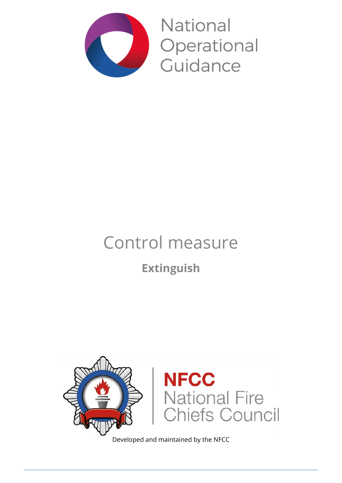

**National** Operational Guidance

# Control measure

### **Extinguish**



Developed and maintained by the NFCC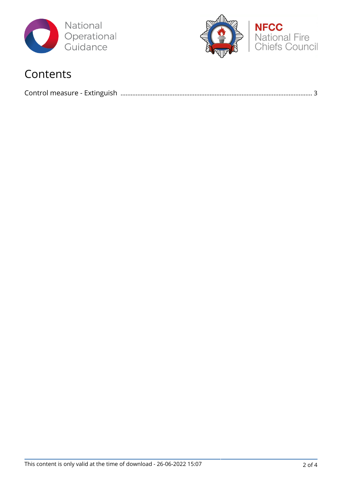



### Contents

|--|--|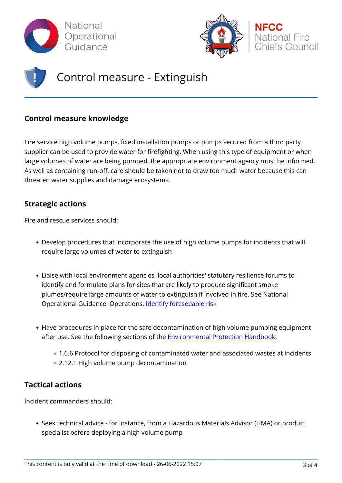



## Control measure - Extinguish

### **Control measure knowledge**

Fire service high volume pumps, fixed installation pumps or pumps secured from a third party supplier can be used to provide water for firefighting. When using this type of equipment or when large volumes of water are being pumped, the appropriate environment agency must be informed. As well as containing run-off, care should be taken not to draw too much water because this can threaten water supplies and damage ecosystems.

#### **Strategic actions**

Fire and rescue services should:

- Develop procedures that incorporate the use of high volume pumps for incidents that will require large volumes of water to extinguish
- Liaise with local environment agencies, local authorities' statutory resilience forums to identify and formulate plans for sites that are likely to produce significant smoke plumes/require large amounts of water to extinguish if involved in fire. See National Operational Guidance: Operations. [Identify foreseeable risk](http://www.ukfrs.com/admin/structure/eck/entity/promos/12221)
- Have procedures in place for the safe decontamination of high volume pumping equipment after use. See the following sections of the [Environmental Protection Handbook](http://www.ukfrs.com/media/418):
	- o 1.6.6 Protocol for disposing of contaminated water and associated wastes at incidents 2.12.1 High volume pump decontamination

### **Tactical actions**

Incident commanders should:

Seek technical advice - for instance, from a Hazardous Materials Advisor (HMA) or product specialist before deploying a high volume pump